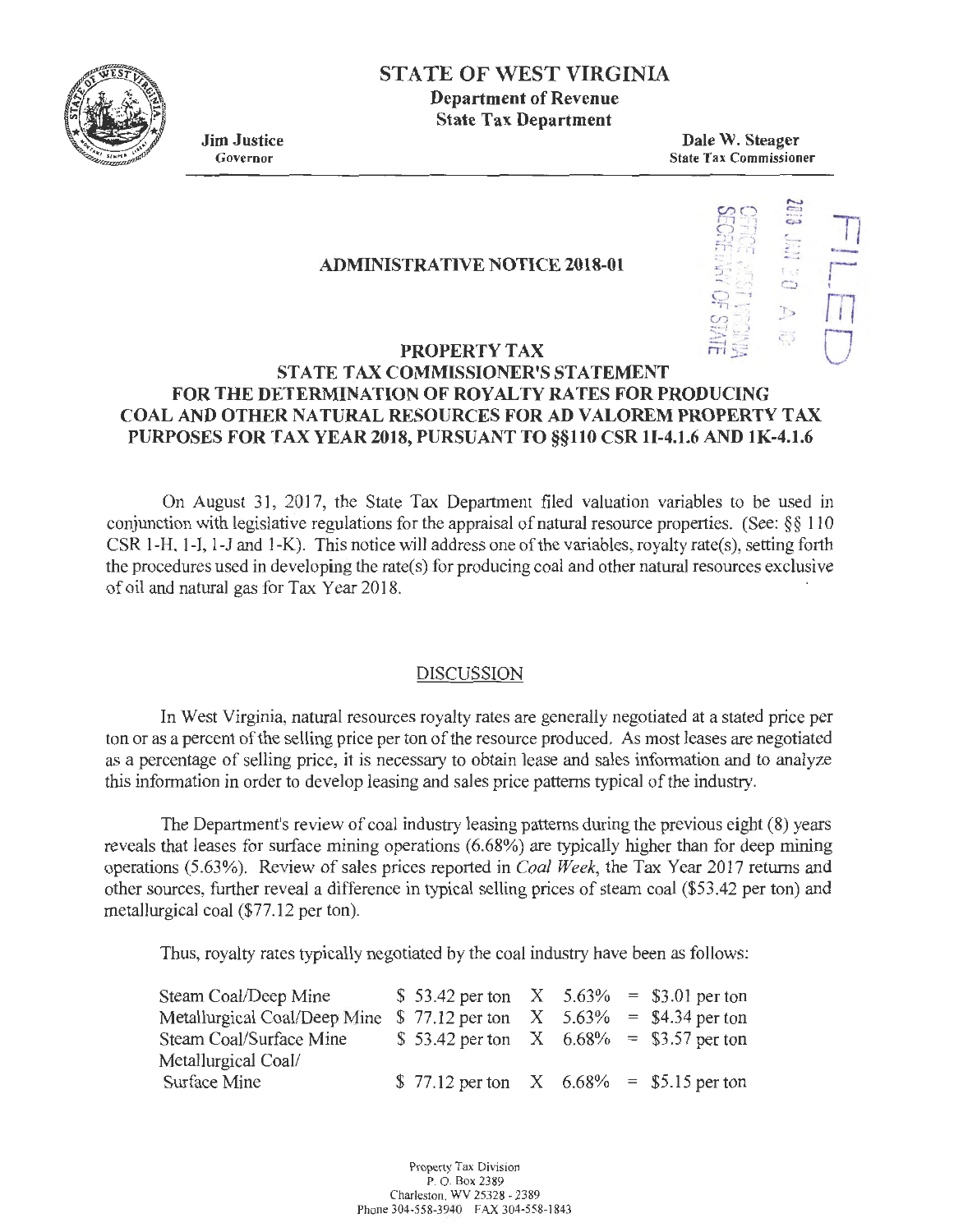

# STATE OF WEST VIRGINIA

Department of Revenue State Tax Department

Jim Justice Governor

Dale W. Steager State Tax Commissioner

#### ADMINISTRATIVE NOTICE 2018-01



# PROPERTY TAX STATE TAX COMMISSIONER'S STATEMENT FOR THE DETERMINATION OF ROYALTY RATES FOR PRODUCING COAL AND OTHER NATURAL RESOURCES FOR AD VALOREM PROPERTY TAX PURPOSES FOR TAX YEAR 2018, PURSUANT TO §§110 CSR 1I-4.1.6 AND 1K-4.1.6

On August 31, 2017, the State Tax Department filed valuation variables to be used in conjunction with legislative regulations for the appraisal of natural resource properties. (See: *§ §* 110 CSR 1-H, 1-I, 1-J and 1-K). This notice will address one of the variables, royalty rate(s), setting forth the procedures used in developing the rate(s) for producing coal and other natural resources exclusive of oil and natural gas for Tax Year 2018.

## DISCUSSION

In West Virginia, natural resources royalty rates are generally negotiated at a stated price per ton or as a percent of the selling price per ton of the resource produced. As most leases are negotiated as a percentage of selling price, it is necessary to obtain lease and sales information and to analyze this information in order to develop leasing and sales price patterns typical of the industry.

The Department's review of coal industry leasing patterns during the previous eight (8) years reveals that leases for surface mining operations (6.68%) are typically higher than for deep mining operations (5.63%). Review of sales prices reported in *Coal Week,* the Tax Year 2017 returns and other sources, further reveal a difference in typical selling prices of steam coal (\$53.42 per ton) and metallurgical coal (\$77.12 per ton).

Thus, royalty rates typically negotiated by the coal industry have been as follows:

| Steam Coal/Deep Mine                                                     | \$ 53.42 per ton $X = 5.63\% = 3.01$ per ton  |  |  |
|--------------------------------------------------------------------------|-----------------------------------------------|--|--|
| Metallurgical Coal/Deep Mine $$77.12$ per ton $X$ 5.63% = \$4.34 per ton |                                               |  |  |
| Steam Coal/Surface Mine                                                  | \$ 53.42 per ton $X = 6.68\% = 13.57$ per ton |  |  |
| Metallurgical Coal/                                                      |                                               |  |  |
| Surface Mine                                                             | \$77.12 per ton $X$ 6.68% = \$5.15 per ton    |  |  |